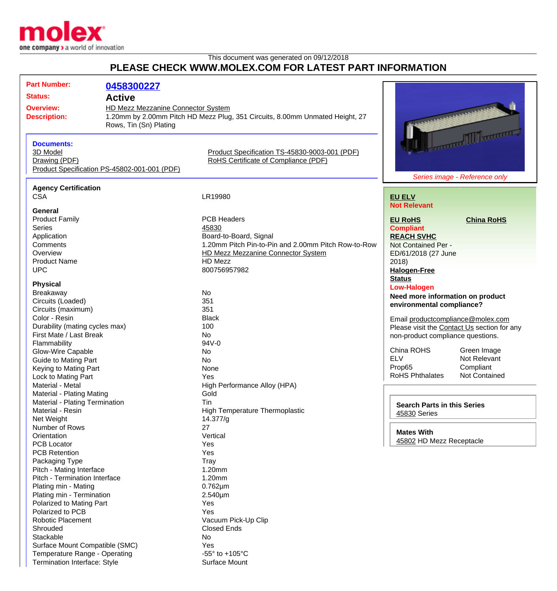

Temperature Range - Operating  $-55^\circ$  to +105°C Termination Interface: Style Surface Mount

This document was generated on 09/12/2018

## **PLEASE CHECK WWW.MOLEX.COM FOR LATEST PART INFORMATION**

| <b>Part Number:</b>              | 0458300227                                   |                                                                              |                                             |                                   |
|----------------------------------|----------------------------------------------|------------------------------------------------------------------------------|---------------------------------------------|-----------------------------------|
|                                  |                                              |                                                                              |                                             |                                   |
| <b>Status:</b>                   | <b>Active</b>                                |                                                                              |                                             |                                   |
| <b>Overview:</b>                 | HD Mezz Mezzanine Connector System           |                                                                              |                                             |                                   |
| <b>Description:</b>              |                                              | 1.20mm by 2.00mm Pitch HD Mezz Plug, 351 Circuits, 8.00mm Unmated Height, 27 |                                             |                                   |
|                                  | Rows, Tin (Sn) Plating                       |                                                                              |                                             |                                   |
|                                  |                                              |                                                                              |                                             | <b>Total Million Corporation</b>  |
| <b>Documents:</b>                |                                              |                                                                              |                                             |                                   |
| 3D Model                         |                                              | Product Specification TS-45830-9003-001 (PDF)                                |                                             |                                   |
| Drawing (PDF)                    |                                              | RoHS Certificate of Compliance (PDF)                                         |                                             |                                   |
|                                  | Product Specification PS-45802-001-001 (PDF) |                                                                              |                                             |                                   |
|                                  |                                              |                                                                              |                                             | Series image - Reference only     |
| <b>Agency Certification</b>      |                                              |                                                                              |                                             |                                   |
| <b>CSA</b>                       |                                              | LR19980                                                                      | <b>EU ELV</b>                               |                                   |
|                                  |                                              |                                                                              | <b>Not Relevant</b>                         |                                   |
| General                          |                                              |                                                                              |                                             |                                   |
| <b>Product Family</b>            |                                              | <b>PCB Headers</b>                                                           | <b>EU RoHS</b>                              | <b>China RoHS</b>                 |
| <b>Series</b>                    |                                              | 45830                                                                        | <b>Compliant</b>                            |                                   |
| Application                      |                                              | Board-to-Board, Signal                                                       | <b>REACH SVHC</b>                           |                                   |
| Comments                         |                                              | 1.20mm Pitch Pin-to-Pin and 2.00mm Pitch Row-to-Row                          | Not Contained Per -                         |                                   |
| Overview                         |                                              | <b>HD Mezz Mezzanine Connector System</b>                                    | ED/61/2018 (27 June                         |                                   |
| <b>Product Name</b>              |                                              | HD Mezz                                                                      | 2018                                        |                                   |
| <b>UPC</b>                       |                                              | 800756957982                                                                 | <b>Halogen-Free</b>                         |                                   |
|                                  |                                              |                                                                              | <b>Status</b>                               |                                   |
| <b>Physical</b>                  |                                              |                                                                              | <b>Low-Halogen</b>                          |                                   |
| Breakaway                        |                                              | <b>No</b>                                                                    | Need more information on product            |                                   |
| Circuits (Loaded)                |                                              | 351                                                                          | environmental compliance?                   |                                   |
| Circuits (maximum)               |                                              | 351                                                                          |                                             |                                   |
| Color - Resin                    |                                              | <b>Black</b>                                                                 |                                             | Email productcompliance@molex.com |
| Durability (mating cycles max)   |                                              | 100                                                                          | Please visit the Contact Us section for any |                                   |
| First Mate / Last Break          |                                              | <b>No</b>                                                                    | non-product compliance questions.           |                                   |
| Flammability                     |                                              | 94V-0                                                                        |                                             |                                   |
| <b>Glow-Wire Capable</b>         |                                              | No                                                                           | China ROHS                                  | Green Image                       |
| <b>Guide to Mating Part</b>      |                                              | <b>No</b>                                                                    | <b>ELV</b>                                  | Not Relevant                      |
| Keying to Mating Part            |                                              | None                                                                         | Prop65                                      | Compliant                         |
| Lock to Mating Part              |                                              | Yes                                                                          | <b>RoHS Phthalates</b>                      | <b>Not Contained</b>              |
| Material - Metal                 |                                              | High Performance Alloy (HPA)                                                 |                                             |                                   |
| <b>Material - Plating Mating</b> |                                              | Gold                                                                         |                                             |                                   |
| Material - Plating Termination   |                                              | <b>Tin</b>                                                                   |                                             |                                   |
| Material - Resin                 |                                              | High Temperature Thermoplastic                                               | <b>Search Parts in this Series</b>          |                                   |
| Net Weight                       |                                              | 14.377/g                                                                     | 45830 Series                                |                                   |
| Number of Rows                   |                                              | 27                                                                           |                                             |                                   |
| Orientation                      |                                              | Vertical                                                                     | <b>Mates With</b>                           |                                   |
| <b>PCB Locator</b>               |                                              | Yes                                                                          | 45802 HD Mezz Receptacle                    |                                   |
| <b>PCB Retention</b>             |                                              | Yes                                                                          |                                             |                                   |
| Packaging Type                   |                                              | Tray                                                                         |                                             |                                   |
| Pitch - Mating Interface         |                                              | 1.20mm                                                                       |                                             |                                   |
| Pitch - Termination Interface    |                                              | 1.20mm                                                                       |                                             |                                   |
| Plating min - Mating             |                                              | $0.762 \mu m$                                                                |                                             |                                   |
| Plating min - Termination        |                                              | 2.540µm                                                                      |                                             |                                   |
| Polarized to Mating Part         |                                              | Yes                                                                          |                                             |                                   |
| Polarized to PCB                 |                                              | Yes                                                                          |                                             |                                   |
| <b>Robotic Placement</b>         |                                              | Vacuum Pick-Up Clip                                                          |                                             |                                   |
| Shrouded                         |                                              | <b>Closed Ends</b>                                                           |                                             |                                   |
| Stackable                        |                                              | No                                                                           |                                             |                                   |
| Surface Mount Compatible (SMC)   |                                              | Yes                                                                          |                                             |                                   |
|                                  |                                              |                                                                              |                                             |                                   |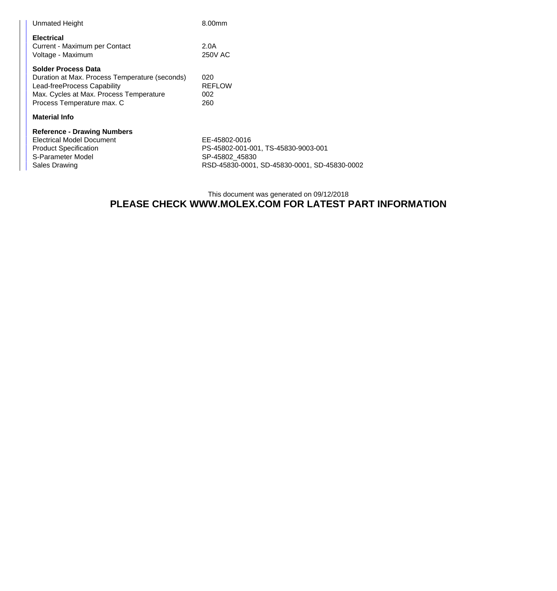| 8.00mm                                     |
|--------------------------------------------|
| 2.0A<br><b>250V AC</b>                     |
| 020<br><b>REFLOW</b><br>002<br>260         |
|                                            |
| EE-45802-0016<br>PS-45802-001-001, TS-4583 |
|                                            |

80-9003-001 S-Parameter Model SP-45802\_45830<br>
Sales Drawing Sales Call Sales Drawing SP-45830-0001, RSD-45830-0001, SD-45830-0001, SD-45830-0002

## This document was generated on 09/12/2018 **PLEASE CHECK WWW.MOLEX.COM FOR LATEST PART INFORMATION**